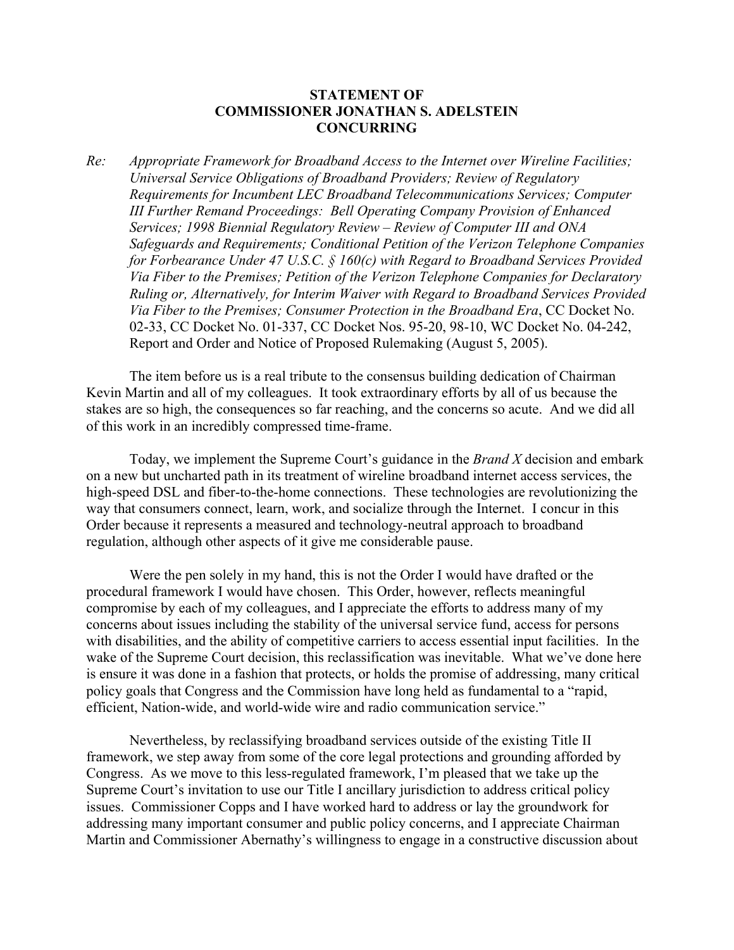## **STATEMENT OF COMMISSIONER JONATHAN S. ADELSTEIN CONCURRING**

*Re: Appropriate Framework for Broadband Access to the Internet over Wireline Facilities; Universal Service Obligations of Broadband Providers; Review of Regulatory Requirements for Incumbent LEC Broadband Telecommunications Services; Computer III Further Remand Proceedings: Bell Operating Company Provision of Enhanced Services; 1998 Biennial Regulatory Review – Review of Computer III and ONA Safeguards and Requirements; Conditional Petition of the Verizon Telephone Companies for Forbearance Under 47 U.S.C. § 160(c) with Regard to Broadband Services Provided Via Fiber to the Premises; Petition of the Verizon Telephone Companies for Declaratory Ruling or, Alternatively, for Interim Waiver with Regard to Broadband Services Provided Via Fiber to the Premises; Consumer Protection in the Broadband Era*, CC Docket No. 02-33, CC Docket No. 01-337, CC Docket Nos. 95-20, 98-10, WC Docket No. 04-242, Report and Order and Notice of Proposed Rulemaking (August 5, 2005).

The item before us is a real tribute to the consensus building dedication of Chairman Kevin Martin and all of my colleagues. It took extraordinary efforts by all of us because the stakes are so high, the consequences so far reaching, and the concerns so acute. And we did all of this work in an incredibly compressed time-frame.

Today, we implement the Supreme Court's guidance in the *Brand X* decision and embark on a new but uncharted path in its treatment of wireline broadband internet access services, the high-speed DSL and fiber-to-the-home connections. These technologies are revolutionizing the way that consumers connect, learn, work, and socialize through the Internet. I concur in this Order because it represents a measured and technology-neutral approach to broadband regulation, although other aspects of it give me considerable pause.

Were the pen solely in my hand, this is not the Order I would have drafted or the procedural framework I would have chosen. This Order, however, reflects meaningful compromise by each of my colleagues, and I appreciate the efforts to address many of my concerns about issues including the stability of the universal service fund, access for persons with disabilities, and the ability of competitive carriers to access essential input facilities. In the wake of the Supreme Court decision, this reclassification was inevitable. What we've done here is ensure it was done in a fashion that protects, or holds the promise of addressing, many critical policy goals that Congress and the Commission have long held as fundamental to a "rapid, efficient, Nation-wide, and world-wide wire and radio communication service."

Nevertheless, by reclassifying broadband services outside of the existing Title II framework, we step away from some of the core legal protections and grounding afforded by Congress. As we move to this less-regulated framework, I'm pleased that we take up the Supreme Court's invitation to use our Title I ancillary jurisdiction to address critical policy issues. Commissioner Copps and I have worked hard to address or lay the groundwork for addressing many important consumer and public policy concerns, and I appreciate Chairman Martin and Commissioner Abernathy's willingness to engage in a constructive discussion about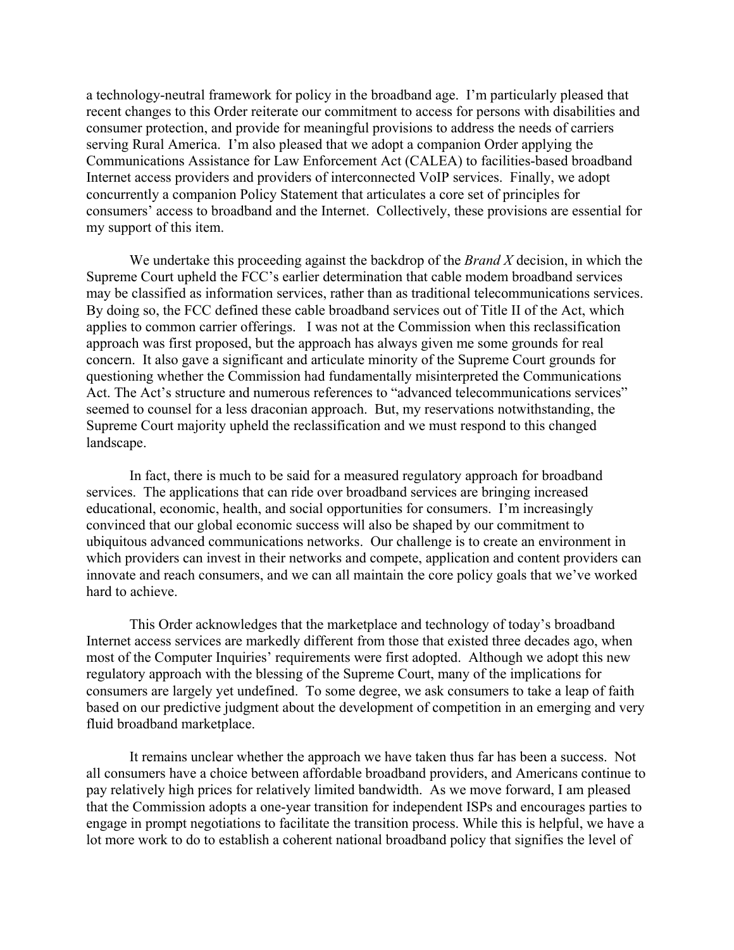a technology-neutral framework for policy in the broadband age. I'm particularly pleased that recent changes to this Order reiterate our commitment to access for persons with disabilities and consumer protection, and provide for meaningful provisions to address the needs of carriers serving Rural America. I'm also pleased that we adopt a companion Order applying the Communications Assistance for Law Enforcement Act (CALEA) to facilities-based broadband Internet access providers and providers of interconnected VoIP services. Finally, we adopt concurrently a companion Policy Statement that articulates a core set of principles for consumers' access to broadband and the Internet. Collectively, these provisions are essential for my support of this item.

We undertake this proceeding against the backdrop of the *Brand X* decision, in which the Supreme Court upheld the FCC's earlier determination that cable modem broadband services may be classified as information services, rather than as traditional telecommunications services. By doing so, the FCC defined these cable broadband services out of Title II of the Act, which applies to common carrier offerings. I was not at the Commission when this reclassification approach was first proposed, but the approach has always given me some grounds for real concern. It also gave a significant and articulate minority of the Supreme Court grounds for questioning whether the Commission had fundamentally misinterpreted the Communications Act. The Act's structure and numerous references to "advanced telecommunications services" seemed to counsel for a less draconian approach. But, my reservations notwithstanding, the Supreme Court majority upheld the reclassification and we must respond to this changed landscape.

In fact, there is much to be said for a measured regulatory approach for broadband services. The applications that can ride over broadband services are bringing increased educational, economic, health, and social opportunities for consumers. I'm increasingly convinced that our global economic success will also be shaped by our commitment to ubiquitous advanced communications networks. Our challenge is to create an environment in which providers can invest in their networks and compete, application and content providers can innovate and reach consumers, and we can all maintain the core policy goals that we've worked hard to achieve.

This Order acknowledges that the marketplace and technology of today's broadband Internet access services are markedly different from those that existed three decades ago, when most of the Computer Inquiries' requirements were first adopted. Although we adopt this new regulatory approach with the blessing of the Supreme Court, many of the implications for consumers are largely yet undefined. To some degree, we ask consumers to take a leap of faith based on our predictive judgment about the development of competition in an emerging and very fluid broadband marketplace.

It remains unclear whether the approach we have taken thus far has been a success. Not all consumers have a choice between affordable broadband providers, and Americans continue to pay relatively high prices for relatively limited bandwidth. As we move forward, I am pleased that the Commission adopts a one-year transition for independent ISPs and encourages parties to engage in prompt negotiations to facilitate the transition process. While this is helpful, we have a lot more work to do to establish a coherent national broadband policy that signifies the level of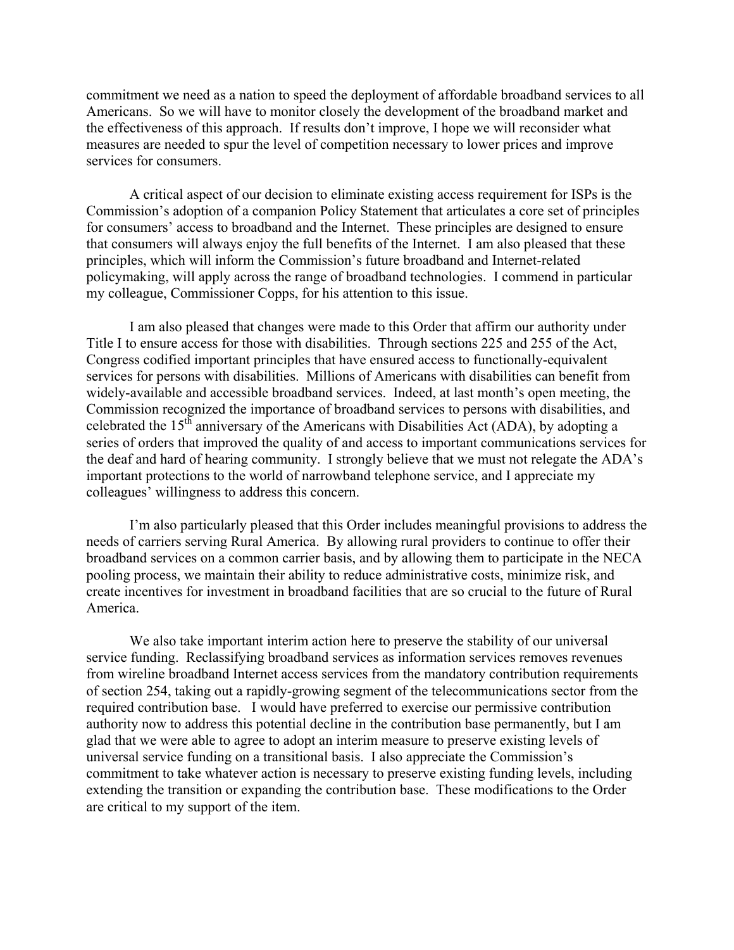commitment we need as a nation to speed the deployment of affordable broadband services to all Americans. So we will have to monitor closely the development of the broadband market and the effectiveness of this approach. If results don't improve, I hope we will reconsider what measures are needed to spur the level of competition necessary to lower prices and improve services for consumers.

A critical aspect of our decision to eliminate existing access requirement for ISPs is the Commission's adoption of a companion Policy Statement that articulates a core set of principles for consumers' access to broadband and the Internet. These principles are designed to ensure that consumers will always enjoy the full benefits of the Internet. I am also pleased that these principles, which will inform the Commission's future broadband and Internet-related policymaking, will apply across the range of broadband technologies. I commend in particular my colleague, Commissioner Copps, for his attention to this issue.

I am also pleased that changes were made to this Order that affirm our authority under Title I to ensure access for those with disabilities. Through sections 225 and 255 of the Act, Congress codified important principles that have ensured access to functionally-equivalent services for persons with disabilities. Millions of Americans with disabilities can benefit from widely-available and accessible broadband services. Indeed, at last month's open meeting, the Commission recognized the importance of broadband services to persons with disabilities, and celebrated the 15th anniversary of the Americans with Disabilities Act (ADA), by adopting a series of orders that improved the quality of and access to important communications services for the deaf and hard of hearing community. I strongly believe that we must not relegate the ADA's important protections to the world of narrowband telephone service, and I appreciate my colleagues' willingness to address this concern.

I'm also particularly pleased that this Order includes meaningful provisions to address the needs of carriers serving Rural America. By allowing rural providers to continue to offer their broadband services on a common carrier basis, and by allowing them to participate in the NECA pooling process, we maintain their ability to reduce administrative costs, minimize risk, and create incentives for investment in broadband facilities that are so crucial to the future of Rural America.

We also take important interim action here to preserve the stability of our universal service funding. Reclassifying broadband services as information services removes revenues from wireline broadband Internet access services from the mandatory contribution requirements of section 254, taking out a rapidly-growing segment of the telecommunications sector from the required contribution base. I would have preferred to exercise our permissive contribution authority now to address this potential decline in the contribution base permanently, but I am glad that we were able to agree to adopt an interim measure to preserve existing levels of universal service funding on a transitional basis. I also appreciate the Commission's commitment to take whatever action is necessary to preserve existing funding levels, including extending the transition or expanding the contribution base. These modifications to the Order are critical to my support of the item.